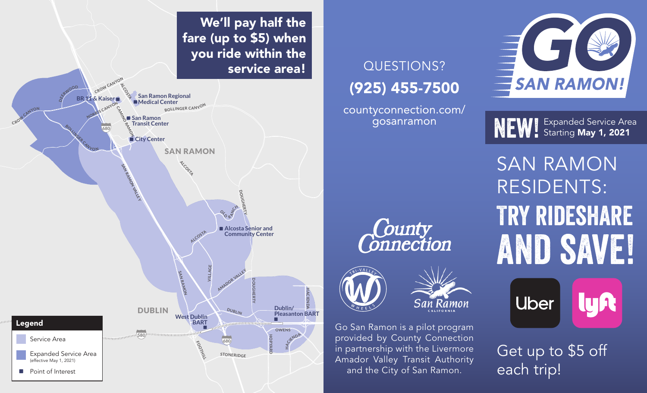

NEW! Expanded Service Area

Try rideshare and save! SAN RAMON RESIDENTS:



Get up to \$5 off each trip!

# QUESTIONS? (925) 455-7500

countyconnection.com/ gosanramon

Go San Ramon is a pilot program provided by County Connection in partnership with the Livermore Amador Valley Transit Authority and the City of San Ramon.

**County**<br>Connection

We'll pay half the fare (up to \$5) when you ride within the service area!